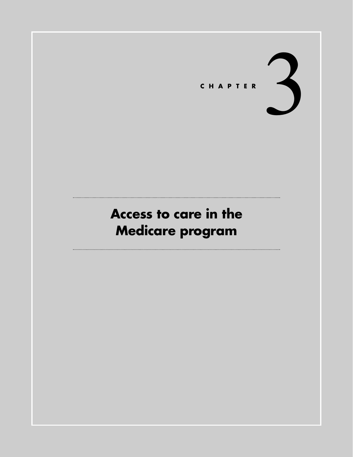

# **Access to care in the Medicare program**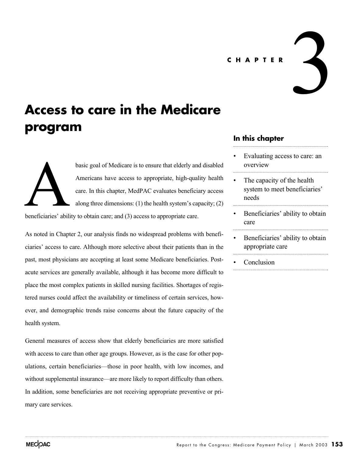#### **CHAPTER**

## **Access to care in the Medicare program**

beneficiaries' abili

basic goal of Medicare is to ensure that elderly and disabled Americans have access to appropriate, high-quality health care. In this chapter, MedPAC evaluates beneficiary access along three dimensions: (1) the health system's capacity; (2)

beneficiaries' ability to obtain care; and (3) access to appropriate care.

As noted in Chapter 2, our analysis finds no widespread problems with beneficiaries' access to care. Although more selective about their patients than in the past, most physicians are accepting at least some Medicare beneficiaries. Postacute services are generally available, although it has become more difficult to place the most complex patients in skilled nursing facilities. Shortages of registered nurses could affect the availability or timeliness of certain services, however, and demographic trends raise concerns about the future capacity of the health system.

General measures of access show that elderly beneficiaries are more satisfied with access to care than other age groups. However, as is the case for other populations, certain beneficiaries—those in poor health, with low incomes, and without supplemental insurance—are more likely to report difficulty than others. In addition, some beneficiaries are not receiving appropriate preventive or primary care services.

## **In this chapter**

Evaluating access to care: an overview

3

- The capacity of the health system to meet beneficiaries' needs
- Beneficiaries' ability to obtain care
- Beneficiaries' ability to obtain appropriate care
- **Conclusion**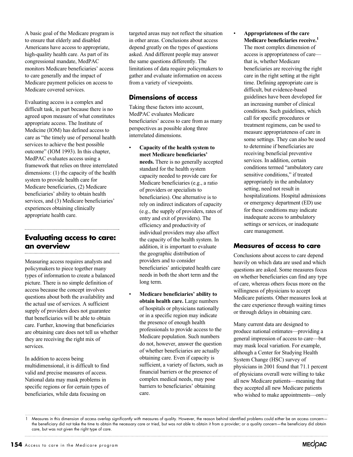A basic goal of the Medicare program is to ensure that elderly and disabled Americans have access to appropriate, high-quality health care. As part of its congressional mandate, MedPAC monitors Medicare beneficiaries' access to care generally and the impact of Medicare payment policies on access to Medicare covered services.

Evaluating access is a complex and difficult task, in part because there is no agreed upon measure of what constitutes appropriate access. The Institute of Medicine (IOM) has defined access to care as "the timely use of personal health services to achieve the best possible outcome" (IOM 1993). In this chapter, MedPAC evaluates access using a framework that relies on three interrelated dimensions: (1) the capacity of the health system to provide health care for Medicare beneficiaries, (2) Medicare beneficiaries' ability to obtain health services, and (3) Medicare beneficiaries' experiences obtaining clinically appropriate health care.

## **Evaluating access to care: an overview**

Measuring access requires analysts and policymakers to piece together many types of information to create a balanced picture. There is no simple definition of access because the concept involves questions about both the availability and the actual use of services. A sufficient supply of providers does not guarantee that beneficiaries will be able to obtain care. Further, knowing that beneficiaries are obtaining care does not tell us whether they are receiving the right mix of services.

In addition to access being multidimensional, it is difficult to find valid and precise measures of access. National data may mask problems in specific regions or for certain types of beneficiaries, while data focusing on

targeted areas may not reflect the situation in other areas. Conclusions about access depend greatly on the types of questions asked. And different people may answer the same questions differently. The limitations of data require policymakers to gather and evaluate information on access from a variety of viewpoints.

#### **Dimensions of access**

Taking these factors into account, MedPAC evaluates Medicare beneficiaries' access to care from as many perspectives as possible along three interrelated dimensions.

- **Capacity of the health system to meet Medicare beneficiaries' needs.** There is no generally accepted standard for the health system capacity needed to provide care for Medicare beneficiaries (e.g., a ratio of providers or specialists to beneficiaries). One alternative is to rely on indirect indicators of capacity (e.g., the supply of providers, rates of entry and exit of providers). The efficiency and productivity of individual providers may also affect the capacity of the health system. In addition, it is important to evaluate the geographic distribution of providers and to consider beneficiaries' anticipated health care needs in both the short term and the long term.
- **Medicare beneficiaries' ability to obtain health care.** Large numbers of hospitals or physicians nationally or in a specific region may indicate the presence of enough health professionals to provide access to the Medicare population. Such numbers do not, however, answer the question of whether beneficiaries are actually obtaining care. Even if capacity is sufficient, a variety of factors, such as financial barriers or the presence of complex medical needs, may pose barriers to beneficiaries' obtaining care.

• **Appropriateness of the care Medicare beneficiaries receive.1** The most complex dimension of access is appropriateness of care that is, whether Medicare beneficiaries are receiving the right care in the right setting at the right time. Defining appropriate care is difficult, but evidence-based guidelines have been developed for an increasing number of clinical conditions. Such guidelines, which call for specific procedures or treatment regimens, can be used to measure appropriateness of care in some settings. They can also be used to determine if beneficiaries are receiving beneficial preventive services. In addition, certain conditions termed "ambulatory care sensitive conditions," if treated appropriately in the ambulatory setting, need not result in hospitalizations. Hospital admissions or emergency department (ED) use for these conditions may indicate inadequate access to ambulatory settings or services, or inadequate care management.

## **Measures of access to care**

Conclusions about access to care depend heavily on which data are used and which questions are asked. Some measures focus on whether beneficiaries can find any type of care, whereas others focus more on the willingness of physicians to accept Medicare patients. Other measures look at the care experience through waiting times or through delays in obtaining care.

Many current data are designed to produce national estimates—providing a general impression of access to care—but may mask local variation. For example, although a Center for Studying Health System Change (HSC) survey of physicians in 2001 found that 71.1 percent of physicians overall were willing to take all new Medicare patients—meaning that they accepted all new Medicare patients who wished to make appointments—only



<sup>1</sup> Measures in this dimension of access overlap significantly with measures of quality. However, the reason behind identified problems could either be an access concernthe beneficiary did not take the time to obtain the necessary care or tried, but was not able to obtain it from a provider; or a quality concern—the beneficiary did obtain care, but was not given the right type of care.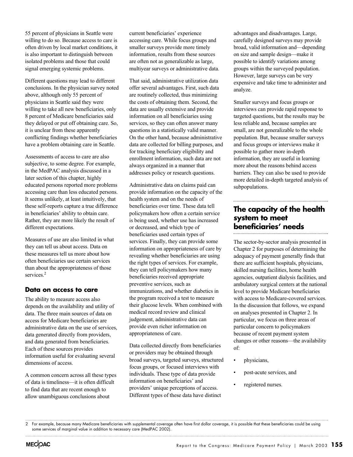55 percent of physicians in Seattle were willing to do so. Because access to care is often driven by local market conditions, it is also important to distinguish between isolated problems and those that could signal emerging systemic problems.

Different questions may lead to different conclusions. In the physician survey noted above, although only 55 percent of physicians in Seattle said they were willing to take all new beneficiaries, only 8 percent of Medicare beneficiaries said they delayed or put off obtaining care. So, it is unclear from these apparently conflicting findings whether beneficiaries have a problem obtaining care in Seattle.

Assessments of access to care are also subjective, to some degree. For example, in the MedPAC analysis discussed in a later section of this chapter, highly educated persons reported more problems accessing care than less educated persons. It seems unlikely, at least intuitively, that these self-reports capture a true difference in beneficiaries' ability to obtain care. Rather, they are more likely the result of different expectations.

Measures of use are also limited in what they can tell us about access. Data on these measures tell us more about how often beneficiaries use certain services than about the appropriateness of those services.<sup>2</sup>

#### **Data on access to care**

The ability to measure access also depends on the availability and utility of data. The three main sources of data on access for Medicare beneficiaries are administrative data on the use of services, data generated directly from providers, and data generated from beneficiaries. Each of these sources provides information useful for evaluating several dimensions of access.

A common concern across all these types of data is timeliness—it is often difficult to find data that are recent enough to allow unambiguous conclusions about

current beneficiaries' experience accessing care. While focus groups and smaller surveys provide more timely information, results from these sources are often not as generalizable as large, multiyear surveys or administrative data.

That said, administrative utilization data offer several advantages. First, such data are routinely collected, thus minimizing the costs of obtaining them. Second, the data are usually extensive and provide information on all beneficiaries using services, so they can often answer many questions in a statistically valid manner. On the other hand, because administrative data are collected for billing purposes, and for tracking beneficiary eligibility and enrollment information, such data are not always organized in a manner that addresses policy or research questions.

Administrative data on claims paid can provide information on the capacity of the health system and on the needs of beneficiaries over time. These data tell policymakers how often a certain service is being used, whether use has increased or decreased, and which type of beneficiaries used certain types of services. Finally, they can provide some information on appropriateness of care by revealing whether beneficiaries are using the right types of services. For example, they can tell policymakers how many beneficiaries received appropriate preventive services, such as immunizations, and whether diabetics in the program received a test to measure their glucose levels. When combined with medical record review and clinical judgement, administrative data can provide even richer information on appropriateness of care.

Data collected directly from beneficiaries or providers may be obtained through broad surveys, targeted surveys, structured focus groups, or focused interviews with individuals. These type of data provide information on beneficiaries' and providers' unique perceptions of access. Different types of these data have distinct

advantages and disadvantages. Large, carefully designed surveys may provide broad, valid information and—depending on size and sample design—make it possible to identify variations among groups within the surveyed population. However, large surveys can be very expensive and take time to administer and analyze.

Smaller surveys and focus groups or interviews can provide rapid response to targeted questions, but the results may be less reliable and, because samples are small, are not generalizable to the whole population. But, because smaller surveys and focus groups or interviews make it possible to gather more in-depth information, they are useful in learning more about the reasons behind access barriers. They can also be used to provide more detailed in-depth targeted analysis of subpopulations.

## **The capacity of the health system to meet beneficiaries' needs**

The sector-by-sector analysis presented in Chapter 2 for purposes of determining the adequacy of payment generally finds that there are sufficient hospitals, physicians, skilled nursing facilities, home health agencies, outpatient dialysis facilities, and ambulatory surgical centers at the national level to provide Medicare beneficiaries with access to Medicare-covered services. In the discussion that follows, we expand on analyses presented in Chapter 2. In particular, we focus on three areas of particular concern to policymakers because of recent payment system changes or other reasons—the availability of:

- physicians,
- post-acute services, and
- registered nurses.

<sup>2</sup> For example, because many Medicare beneficiaries with supplemental coverage often have first dollar coverage, it is possible that these beneficiaries could be using some services of marginal value in addition to necessary care (MedPAC 2002).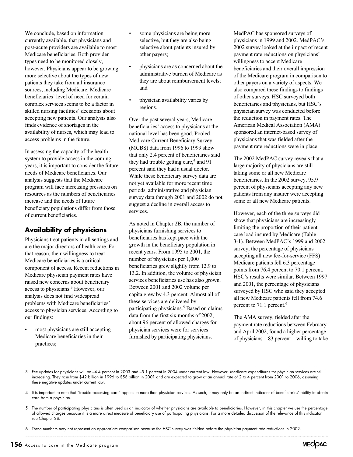We conclude, based on information currently available, that physicians and post-acute providers are available to most Medicare beneficiaries. Both provider types need to be monitored closely, however. Physicians appear to be growing more selective about the types of new patients they take from all insurance sources, including Medicare. Medicare beneficiaries' level of need for certain complex services seems to be a factor in skilled nursing facilities' decisions about accepting new patients. Our analysis also finds evidence of shortages in the availability of nurses, which may lead to access problems in the future.

In assessing the capacity of the health system to provide access in the coming years, it is important to consider the future needs of Medicare beneficiaries. Our analysis suggests that the Medicare program will face increasing pressures on resources as the numbers of beneficiaries increase and the needs of future beneficiary populations differ from those of current beneficiaries.

## **Availability of physicians**

Physicians treat patients in all settings and are the major directors of health care. For that reason, their willingness to treat Medicare beneficiaries is a critical component of access. Recent reductions in Medicare physician payment rates have raised new concerns about beneficiary access to physicians.3 However, our analysis does not find widespread problems with Medicare beneficiaries' access to physician services. According to our findings:

• most physicians are still accepting Medicare beneficiaries in their practices;

- some physicians are being more selective, but they are also being selective about patients insured by other payers;
- physicians are as concerned about the administrative burden of Medicare as they are about reimbursement levels; and
- physician availability varies by regions.

Over the past several years, Medicare beneficiaries' access to physicians at the national level has been good. Pooled Medicare Current Beneficiary Survey (MCBS) data from 1996 to 1999 show that only 2.4 percent of beneficiaries said they had trouble getting care, $4$  and 91 percent said they had a usual doctor. While these beneficiary survey data are not yet available for more recent time periods, administrative and physician survey data through 2001 and 2002 do not suggest a decline in overall access to services.

As noted in Chapter 2B, the number of physicians furnishing services to beneficiaries has kept pace with the growth in the beneficiary population in recent years. From 1995 to 2001, the number of physicians per 1,000 beneficiaries grew slightly from 12.9 to 13.2. In addition, the volume of physician services beneficiaries use has also grown. Between 2001 and 2002 volume per capita grew by 4.3 percent. Almost all of these services are delivered by participating physicians.<sup>5</sup> Based on claims data from the first six months of 2002, about 96 percent of allowed charges for physician services were for services furnished by participating physicians.

MedPAC has sponsored surveys of physicians in 1999 and 2002. MedPAC's 2002 survey looked at the impact of recent payment rate reductions on physicians' willingness to accept Medicare beneficiaries and their overall impression of the Medicare program in comparison to other payers on a variety of aspects. We also compared these findings to findings of other surveys. HSC surveyed both beneficiaries and physicians, but HSC's physician survey was conducted before the reduction in payment rates. The American Medical Association (AMA) sponsored an internet-based survey of physicians that was fielded after the payment rate reductions were in place.

The 2002 MedPAC survey reveals that a large majority of physicians are still taking some or all new Medicare beneficiaries. In the 2002 survey, 95.9 percent of physicians accepting any new patients from any insurer were accepting some or all new Medicare patients.

However, each of the three surveys did show that physicians are increasingly limiting the proportion of their patient care load insured by Medicare (Table 3-1). Between MedPAC's 1999 and 2002 survey, the percentage of physicians accepting all new fee-for-service (FFS) Medicare patients fell 6.3 percentage points from 76.4 percent to 70.1 percent. HSC's results were similar. Between 1997 and 2001, the percentage of physicians surveyed by HSC who said they accepted all new Medicare patients fell from 74.6 percent to 71.1 percent.<sup>6</sup>

The AMA survey, fielded after the payment rate reductions between February and April 2002, found a higher percentage of physicians—83 percent—willing to take

4 It is important to note that "trouble accessing care" applies to more than physician services. As such, it may only be an indirect indicator of beneficiaries' ability to obtain care from a physician.

5 The number of participating physicians is often used as an indicator of whether physicians are available to beneficiaries. However, in this chapter we use the percentage of allowed charges because it is a more direct measure of beneficiary use of participating physicians. For a more detailed discussion of the relevance of this indicator see Chapter 2B.

6 These numbers may not represent an appropriate comparison because the HSC survey was fielded before the physician payment rate reductions in 2002.

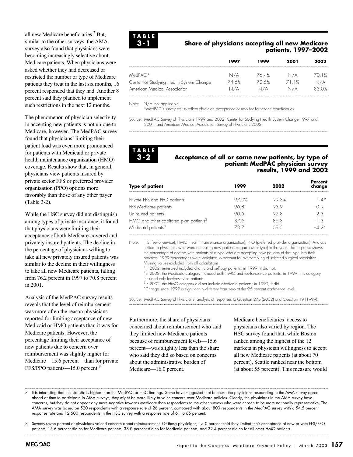all new Medicare beneficiaries.7 But, similar to the other surveys, the AMA survey also found that physicians were becoming increasingly selective about Medicare patients. When physicians were asked whether they had decreased or restricted the number or type of Medicare patients they treat in the last six months, 16 percent responded that they had. Another 8 percent said they planned to implement such restrictions in the next 12 months.

The phenomenon of physician selectivity in accepting new patients is not unique to Medicare, however. The MedPAC survey found that physicians' limiting their patient load was even more pronounced for patients with Medicaid or private health maintenance organization (HMO) coverage. Results show that, in general, physicians view patients insured by private sector FFS or preferred provider organization (PPO) options more favorably than those of any other payer (Table 3-2).

While the HSC survey did not distinguish among types of private insurance, it found that physicians were limiting their acceptance of both Medicare-covered and privately insured patients. The decline in the percentage of physicians willing to take all new privately insured patients was similar to the decline in their willingness to take all new Medicare patients, falling from 76.2 percent in 1997 to 70.8 percent in 2001.

Analysis of the MedPAC survey results reveals that the level of reimbursement was more often the reason physicians reported for limiting acceptance of new Medicaid or HMO patients than it was for Medicare patients. However, the percentage limiting their acceptance of new patients due to concern over reimbursement was slightly higher for Medicare—15.6 percent—than for private FFS/PPO patients—15.0 percent.8



#### **Share of physicians accepting all new Medicare patients, 1997–2002**

|                                          | 1997  | 1999  | 2001 | 2002   |
|------------------------------------------|-------|-------|------|--------|
| $MedPAC*$                                | N/A   | 76.4% | N/A  | 70. 1% |
| Center for Studying Health System Change | 74 6% | 72.5% | 1%   | n/a    |
| American Medical Association             | N/A   | n/a   | /a   | 83.0%  |

Note: N/A (not applicable).

\*MedPAC's survey results reflect physician acceptance of new fee-for-service beneficiaries.

Source: MedPAC Survey of Physicians 1999 and 2002; Center for Studying Health System Change 1997 and 2001; and American Medical Association Survey of Physicians 2002.

#### **TABLE 3-2**

#### **Acceptance of all or some new patients, by type of patient: MedPAC physician survey results, 1999 and 2002**

| <b>Type of patient</b>                             | 1999  | 2002  | Percent<br>change |
|----------------------------------------------------|-------|-------|-------------------|
| Private FFS and PPO patients                       | 97.9% | 99.3% | $\pm$ $\Delta^*$  |
| FFS Medicare patients                              | 96 R  | 95 9  |                   |
| Uninsured patients <sup>1</sup>                    | 9N 5  | 92 8  | 23                |
| HMO and other capitated plan patients <sup>2</sup> | 876   | 86.3  | $-1.3$            |
| Medicaid patients <sup>3</sup>                     | 73 7  | 69 h  |                   |

Note: FFS (fee-for-service), HMO (health maintenance organization), PPO (preferred provider organization). Analysis limited to physicians who were accepting new patients (regardless of type) in the year. The response shows the percentage of doctors with patients of a type who are accepting new patients of that type into their practice. 1999 percentages were weighted to account for oversampling of selected surgical specialties. Missing values excluded from all calculations.

<sup>1</sup>In 2002, uninsured included charity and self-pay patients; in 1999, it did not.

<sup>2</sup>In 2002, the Medicaid category included both HMO and fee-for-service patients; in 1999, this category included only fee-for-service patients.

<sup>3</sup>In 2002, the HMO category did not include Medicaid patients; in 1999, it did.

\*Change since 1999 is significantly different from zero at the 95 percent confidence level.

Source: MedPAC Survey of Physicians, analysis of responses to Question 27B (2002) and Question 19 (1999).

Furthermore, the share of physicians concerned about reimbursement who said they limited new Medicare patients because of reimbursement levels—15.6 percent—was slightly less than the share who said they did so based on concerns about the administrative burden of Medicare—16.0 percent.

Medicare beneficiaries' access to physicians also varied by region. The HSC survey found that, while Boston ranked among the highest of the 12 markets in physician willingness to accept all new Medicare patients (at about 70 percent), Seattle ranked near the bottom (at about 55 percent). This measure would

It is interesting that this statistic is higher than the MedPAC or HSC findings. Some have suggested that because the physicians responding to the AMA survey agree ahead of time to participate in AMA surveys, they might be more likely to voice concern over Medicare policies. Clearly, the physicians in the AMA survey have concerns, but they do not appear any more negative towards Medicare than respondents to the other surveys who were chosen to be more nationally representative. The AMA survey was based on 520 respondents with a response rate of 26 percent, compared with about 800 respondents in the MedPAC survey with a 54.5 percent response rate and 12,500 respondents in the HSC survey with a response rate of 61 to 65 percent.

<sup>8</sup> Seventy-seven percent of physicians voiced concern about reimbursement. Of these physicians, 15.0 percent said they limited their acceptance of new private FFS/PPO patients, 15.6 percent did so for Medicare patients, 38.0 percent did so for Medicaid patients, and 32.4 percent did so for all other HMO patients.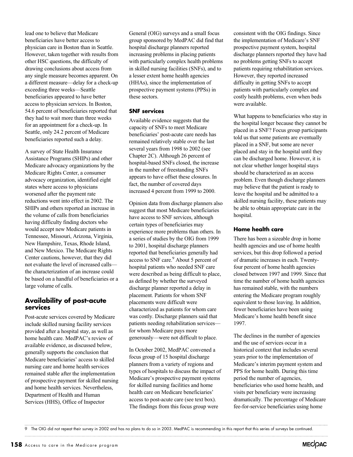lead one to believe that Medicare beneficiaries have better access to physician care in Boston than in Seattle. However, taken together with results from other HSC questions, the difficulty of drawing conclusions about access from any single measure becomes apparent. On a different measure—delay for a check-up exceeding three weeks—Seattle beneficiaries appeared to have better access to physician services. In Boston, 54.6 percent of beneficiaries reported that they had to wait more than three weeks for an appointment for a check-up. In Seattle, only 24.2 percent of Medicare beneficiaries reported such a delay.

A survey of State Health Insurance Assistance Programs (SHIPs) and other Medicare advocacy organizations by the Medicare Rights Center, a consumer advocacy organization, identified eight states where access to physicians worsened after the payment rate reductions went into effect in 2002. The SHIPs and others reported an increase in the volume of calls from beneficiaries having difficulty finding doctors who would accept new Medicare patients in Tennessee, Missouri, Arizona, Virginia, New Hampshire, Texas, Rhode Island, and New Mexico. The Medicare Rights Center cautions, however, that they did not evaluate the level of increased calls the characterization of an increase could be based on a handful of beneficiaries or a large volume of calls.

## **Availability of post-acute services**

Post-acute services covered by Medicare include skilled nursing facility services provided after a hospital stay, as well as home health care. MedPAC's review of available evidence, as discussed below, generally supports the conclusion that Medicare beneficiaries' access to skilled nursing care and home health services remained stable after the implementation of prospective payment for skilled nursing and home health services. Nevertheless, Department of Health and Human Services (HHS), Office of Inspector

General (OIG) surveys and a small focus group sponsored by MedPAC did find that hospital discharge planners reported increasing problems in placing patients with particularly complex health problems in skilled nursing facilities (SNFs), and to a lesser extent home health agencies (HHAs), since the implementation of prospective payment systems (PPSs) in these sectors.

#### **SNF services**

Available evidence suggests that the capacity of SNFs to meet Medicare beneficiaries' post-acute care needs has remained relatively stable over the last several years from 1998 to 2002 (see Chapter 2C). Although 26 percent of hospital-based SNFs closed, the increase in the number of freestanding SNFs appears to have offset these closures. In fact, the number of covered days increased 4 percent from 1999 to 2000.

Opinion data from discharge planners also suggest that most Medicare beneficiaries have access to SNF services, although certain types of beneficiaries may experience more problems than others. In a series of studies by the OIG from 1999 to 2001, hospital discharge planners reported that beneficiaries generally had access to SNF care.<sup>9</sup> About 5 percent of hospital patients who needed SNF care were described as being difficult to place, as defined by whether the surveyed discharge planner reported a delay in placement. Patients for whom SNF placements were difficult were characterized as patients for whom care was costly. Discharge planners said that patients needing rehabilitation services for whom Medicare pays more generously—were not difficult to place.

In October 2002, MedPAC convened a focus group of 15 hospital discharge planners from a variety of regions and types of hospitals to discuss the impact of Medicare's prospective payment systems for skilled nursing facilities and home health care on Medicare beneficiaries' access to post-acute care (see text box). The findings from this focus group were

consistent with the OIG findings. Since the implementation of Medicare's SNF prospective payment system, hospital discharge planners reported they have had no problems getting SNFs to accept patients requiring rehabilitation services. However, they reported increased difficulty in getting SNFs to accept patients with particularly complex and costly health problems, even when beds were available.

What happens to beneficiaries who stay in the hospital longer because they cannot be placed in a SNF? Focus group participants told us that some patients are eventually placed in a SNF, but some are never placed and stay in the hospital until they can be discharged home. However, it is not clear whether longer hospital stays should be characterized as an access problem. Even though discharge planners may believe that the patient is ready to leave the hospital and be admitted to a skilled nursing facility, these patients may be able to obtain appropriate care in the hospital.

#### **Home health care**

There has been a sizeable drop in home health agencies and use of home health services, but this drop followed a period of dramatic increases in each. Twentyfour percent of home health agencies closed between 1997 and 1999. Since that time the number of home health agencies has remained stable, with the numbers entering the Medicare program roughly equivalent to those leaving. In addition, fewer beneficiaries have been using Medicare's home health benefit since 1997.

The declines in the number of agencies and the use of services occur in a historical context that includes several years prior to the implementation of Medicare's interim payment system and PPS for home health. During this time period the number of agencies, beneficiaries who used home health, and visits per beneficiary were increasing dramatically. The percentage of Medicare fee-for-service beneficiaries using home

9 The OIG did not repeat their survey in 2002 and has no plans to do so in 2003. MedPAC is recommending in this report that this series of surveys be continued.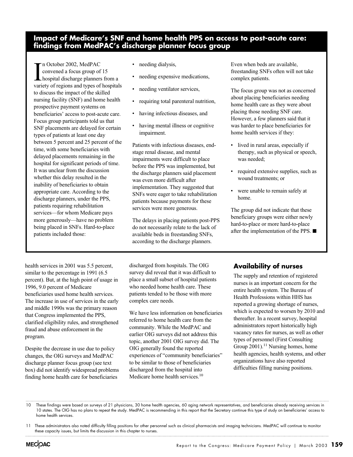## **Impact of Medicare's SNF and home health PPS on access to post-acute care: findings from MedPAC's discharge planner focus group**

In October 2002, MedPAC<br>
convened a focus group of 15<br>
hospital discharge planners from a<br>
variety of regions and types of hospitals n October 2002, MedPAC convened a focus group of 15 hospital discharge planners from a to discuss the impact of the skilled nursing facility (SNF) and home health prospective payment systems on beneficiaries' access to post-acute care. Focus group participants told us that SNF placements are delayed for certain types of patients at least one day between 5 percent and 25 percent of the time, with some beneficiaries with delayed placements remaining in the hospital for significant periods of time. It was unclear from the discussion whether this delay resulted in the inability of beneficiaries to obtain appropriate care. According to the discharge planners, under the PPS, patients requiring rehabilitation services—for whom Medicare pays more generously—have no problem being placed in SNFs. Hard-to-place patients included those:

- needing dialysis,
- needing expensive medications,
- needing ventilator services,
- requiring total parenteral nutrition,
- having infectious diseases, and
- having mental illness or cognitive impairment.

Patients with infectious diseases, endstage renal disease, and mental impairments were difficult to place before the PPS was implemented, but the discharge planners said placement was even more difficult after implementation. They suggested that SNFs were eager to take rehabilitation patients because payments for these services were more generous.

The delays in placing patients post-PPS do not necessarily relate to the lack of available beds in freestanding SNFs, according to the discharge planners.

Even when beds are available, freestanding SNFs often will not take complex patients.

The focus group was not as concerned about placing beneficiaries needing home health care as they were about placing those needing SNF care. However, a few planners said that it was harder to place beneficiaries for home health services if they:

- lived in rural areas, especially if therapy, such as physical or speech, was needed;
- required extensive supplies, such as wound treatments; or
- were unable to remain safely at home.

The group did not indicate that these beneficiary groups were either newly hard-to-place or more hard-to-place after the implementation of the PPS.  $\blacksquare$ 

health services in 2001 was 5.5 percent, similar to the percentage in 1991 (6.5) percent). But, at the high point of usage in 1996, 9.0 percent of Medicare beneficiaries used home health services. The increase in use of services in the early and middle 1990s was the primary reason that Congress implemented the PPS, clarified eligibility rules, and strengthened fraud and abuse enforcement in the program.

Despite the decrease in use due to policy changes, the OIG surveys and MedPAC discharge planner focus group (see text box) did not identify widespread problems finding home health care for beneficiaries

discharged from hospitals. The OIG survey did reveal that it was difficult to place a small subset of hospital patients who needed home health care. These patients tended to be those with more complex care needs.

We have less information on beneficiaries referred to home health care from the community. While the MedPAC and earlier OIG surveys did not address this topic, another 2001 OIG survey did. The OIG generally found the reported experiences of "community beneficiaries" to be similar to those of beneficiaries discharged from the hospital into Medicare home health services.<sup>10</sup>

## **Availability of nurses**

The supply and retention of registered nurses is an important concern for the entire health system. The Bureau of Health Professions within HHS has reported a growing shortage of nurses, which is expected to worsen by 2010 and thereafter. In a recent survey, hospital administrators report historically high vacancy rates for nurses, as well as other types of personnel (First Consulting Group  $2001$ <sup>11</sup> Nursing homes, home health agencies, health systems, and other organizations have also reported difficulties filling nursing positions.

10 These findings were based on surveys of 21 physicians, 30 home health agencies, 60 aging network representatives, and beneficiaries already receiving services in 10 states. The OIG has no plans to repeat the study. MedPAC is recommending in this report that the Secretary continue this type of study on beneficiaries' access to home health services.

<sup>11</sup> These administrators also noted difficulty filling positions for other personnel such as clinical pharmacists and imaging technicians. MedPAC will continue to monitor these capacity issues, but limits the discussion in this chapter to nurses.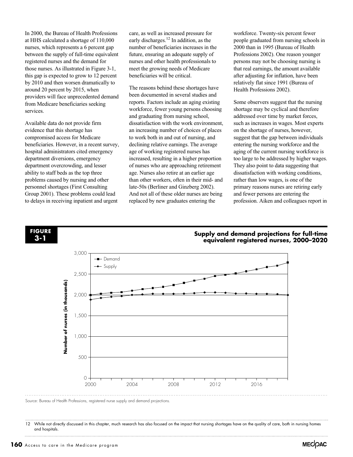In 2000, the Bureau of Health Professions at HHS calculated a shortage of 110,000 nurses, which represents a 6 percent gap between the supply of full-time equivalent registered nurses and the demand for those nurses. As illustrated in Figure 3-1, this gap is expected to grow to 12 percent by 2010 and then worsen dramatically to around 20 percent by 2015, when providers will face unprecedented demand from Medicare beneficiaries seeking services.

Available data do not provide firm evidence that this shortage has compromised access for Medicare beneficiaries. However, in a recent survey, hospital administrators cited emergency department diversions, emergency department overcrowding, and lesser ability to staff beds as the top three problems caused by nursing and other personnel shortages (First Consulting Group 2001). These problems could lead to delays in receiving inpatient and urgent

care, as well as increased pressure for early discharges.<sup>12</sup> In addition, as the number of beneficiaries increases in the future, ensuring an adequate supply of nurses and other health professionals to meet the growing needs of Medicare beneficiaries will be critical.

The reasons behind these shortages have been documented in several studies and reports. Factors include an aging existing workforce, fewer young persons choosing and graduating from nursing school, dissatisfaction with the work environment, an increasing number of choices of places to work both in and out of nursing, and declining relative earnings. The average age of working registered nurses has increased, resulting in a higher proportion of nurses who are approaching retirement age. Nurses also retire at an earlier age than other workers, often in their mid- and late-50s (Berliner and Ginzberg 2002). And not all of these older nurses are being replaced by new graduates entering the

workforce. Twenty-six percent fewer people graduated from nursing schools in 2000 than in 1995 (Bureau of Health Professions 2002). One reason younger persons may not be choosing nursing is that real earnings, the amount available after adjusting for inflation, have been relatively flat since 1991 (Bureau of Health Professions 2002).

Some observers suggest that the nursing shortage may be cyclical and therefore addressed over time by market forces, such as increases in wages. Most experts on the shortage of nurses, however, suggest that the gap between individuals entering the nursing workforce and the aging of the current nursing workforce is too large to be addressed by higher wages. They also point to data suggesting that dissatisfaction with working conditions, rather than low wages, is one of the primary reasons nurses are retiring early and fewer persons are entering the profession. Aiken and colleagues report in



Source: Bureau of Health Professions, registered nurse supply and demand projections.

12 While not directly discussed in this chapter, much research has also focused on the impact that nursing shortages have on the quality of care, both in nursing homes and hospitals.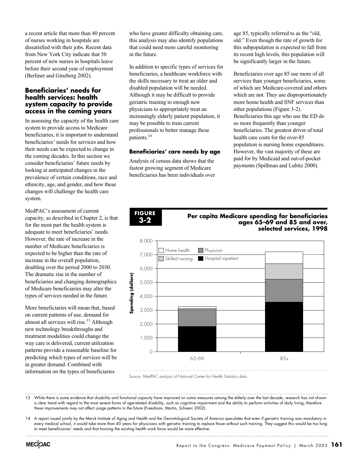a recent article that more than 40 percent of nurses working in hospitals are dissatisfied with their jobs. Recent data from New York City indicate that 50 percent of new nurses in hospitals leave before their second year of employment (Berliner and Ginzberg 2002).

#### **Beneficiaries' needs for health services: health system capacity to provide access in the coming years**

In assessing the capacity of the health care system to provide access to Medicare beneficiaries, it is important to understand beneficiaries' needs for services and how their needs can be expected to change in the coming decades. In this section we consider beneficiaries' future needs by looking at anticipated changes in the prevalence of certain conditions, race and ethnicity, age, and gender, and how these changes will challenge the health care system.

MedPAC's assessment of current capacity, as described in Chapter 2, is that for the most part the health system is adequate to meet beneficiaries' needs. However, the rate of increase in the number of Medicare beneficiaries is expected to be higher than the rate of increase in the overall population, doubling over the period 2000 to 2030. The dramatic rise in the number of beneficiaries and changing demographics of Medicare beneficiaries may alter the types of services needed in the future.

More beneficiaries will mean that, based on current patterns of use, demand for almost all services will rise.<sup>13</sup> Although new technology breakthroughs and treatment modalities could change the way care is delivered, current utilization patterns provide a reasonable baseline for predicting which types of services will be in greater demand. Combined with information on the types of beneficiaries

who have greater difficulty obtaining care, this analysis may also identify populations that could need more careful monitoring in the future.

In addition to specific types of services for beneficiaries, a healthcare workforce with the skills necessary to treat an older and disabled population will be needed. Although it may be difficult to provide geriatric training to enough new physicians to appropriately treat an increasingly elderly patient population, it may be possible to train current professionals to better manage these patients.14

#### **Beneficiaries' care needs by age**

Analysis of census data shows that the fastest growing segment of Medicare beneficiaries has been individuals over

**FIGURE 3-2**

age 85, typically referred to as the "old, old." Even though the rate of growth for this subpopulation is expected to fall from its recent high levels, this population will be significantly larger in the future.

Beneficiaries over age 85 use more of all services than younger beneficiaries, some of which are Medicare-covered and others which are not. They use disproportionately more home health and SNF services than other populations (Figure 3-2). Beneficiaries this age who use the ED do so more frequently than younger beneficiaries. The greatest driver of total health care costs for the over-85 population is nursing home expenditures. However, the vast majority of these are paid for by Medicaid and out-of-pocket payments (Spillman and Lubitz 2000).

#### **Per capita Medicare spending for beneficiaries ages 65–69 and 85 and over, selected services, 1998**



Source: MedPAC analysis of National Center for Health Statistics data.

13 While there is some evidence that disability and functional capacity have improved on some measures among the elderly over the last decade, research has not shown a clear trend with regard to the most severe forms of age-related disability, such as cognitive impairment and the ability to perform activities of daily living; therefore these improvements may not affect usage patterns in the future (Freedman, Martin, Schoeni 2002).

14 A report issued jointly by the Merck Institute of Aging and Health and the Gerontological Society of America speculates that even if geriatric training was mandatory in every medical school, it would take more than 40 years for physicians with geriatric training to replace those without such training. They suggest this would be too long to meet beneficiaries' needs and that training the existing health work force would be more effective.

**MECOAC**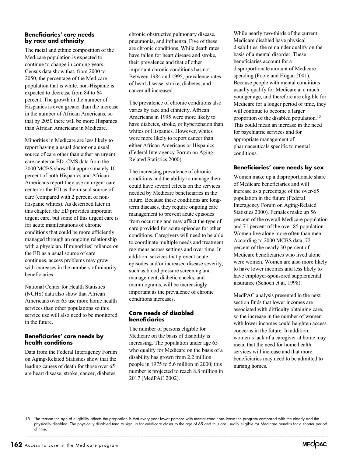#### **Beneficiaries' care needs by race and ethnicity**

The racial and ethnic composition of the Medicare population is expected to continue to change in coming years. Census data show that, from 2000 to 2050, the percentage of the Medicare population that is white, non-Hispanic is expected to decrease from 84 to 64 percent. The growth in the number of Hispanics is even greater than the increase in the number of African Americans, so that by 2050 there will be more Hispanics than African Americans in Medicare.

Minorities in Medicare are less likely to report having a usual doctor or a usual source of care other than either an urgent care center or ED. CMS data from the 2000 MCBS show that approximately 10 percent of both Hispanics and African Americans report they use an urgent care center or the ED as their usual source of care (compared with 2 percent of non-Hispanic whites). As described later in this chapter, the ED provides important urgent care, but some of this urgent care is for acute manifestations of chronic conditions that could be more efficiently managed through an ongoing relationship with a physician. If minorities' reliance on the ED as a usual source of care continues, access problems may grow with increases in the numbers of minority beneficiaries.

National Center for Health Statistics (NCHS) data also show that African Americans over 65 use more home health services than other populations so this service use will also need to be monitored in the future.

#### **Beneficiaries' care needs by health conditions**

Data from the Federal Interagency Forum on Aging-Related Statistics show that the leading causes of death for those over 65 are heart disease, stroke, cancer, diabetes, chronic obstructive pulmonary disease, pneumonia, and influenza. Five of these are chronic conditions. While death rates have fallen for heart disease and stroke, their prevalence and that of other important chronic conditions has not. Between 1984 and 1995, prevalence rates of heart disease, stroke, diabetes, and cancer all increased.

The prevalence of chronic conditions also varies by race and ethnicity. African Americans in 1995 were more likely to have diabetes, stroke, or hypertension than whites or Hispanics. However, whites were more likely to report cancer than either African Americans or Hispanics (Federal Interagency Forum on Aging-Related Statistics 2000).

The increasing prevalence of chronic conditions and the ability to manage them could have several effects on the services needed by Medicare beneficiaries in the future. Because these conditions are longterm diseases, they require ongoing care management to prevent acute episodes from occurring and may affect the type of care provided for acute episodes for other conditions. Caregivers will need to be able to coordinate multiple needs and treatment regimens across settings and over time. In addition, services that prevent acute episodes and/or increased disease severity, such as blood pressure screening and management, diabetic checks, and mammograms, will be increasingly important as the prevalence of chronic conditions increases.

#### **Care needs of disabled beneficiaries**

The number of persons eligible for Medicare on the basis of disability is increasing. The population under age 65 who qualify for Medicare on the basis of a disability has grown from 2.2 million people in 1975 to 5.6 million in 2000; this number is projected to reach 8.8 million in 2017 (MedPAC 2002).

While nearly two-thirds of the current Medicare disabled have physical disabilities, the remainder qualify on the basis of a mental disorder. These beneficiaries account for a disproportionate amount of Medicare spending (Foote and Hogan 2001). Because people with mental conditions usually qualify for Medicare at a much younger age, and therefore are eligible for Medicare for a longer period of time, they will continue to become a larger proportion of the disabled population.15 This could mean an increase in the need for psychiatric services and for appropriate management of pharmaceuticals specific to mental conditions.

#### **Beneficiaries' care needs by sex**

Women make up a disproportionate share of Medicare beneficiaries and will increase as a percentage of the over-65 population in the future (Federal Interagency Forum on Aging-Related Statistics 2000). Females make up 56 percent of the overall Medicare population and 71 percent of the over-85 population. Women live alone more often than men. According to 2000 MCBS data, 72 percent of the nearly 30 percent of Medicare beneficiaries who lived alone were women. Women are also more likely to have lower incomes and less likely to have employer-sponsored supplemental insurance (Schoen et al. 1998).

MedPAC analysis presented in the next section finds that lower incomes are associated with difficulty obtaining care, so the increase in the number of women with lower incomes could heighten access concerns in the future. In addition, women's lack of a caregiver at home may mean that the need for home health services will increase and that more beneficiaries may need to be admitted to nursing homes.

<sup>15</sup> The reason the age of eligibility affects the proportion is that every year fewer persons with mental conditions leave the program compared with the elderly and the physically disabled. The physically disabled tend to sign up for Medicare closer to the age of 65 and thus are usually eligible for Medicare benefits for a shorter period of time.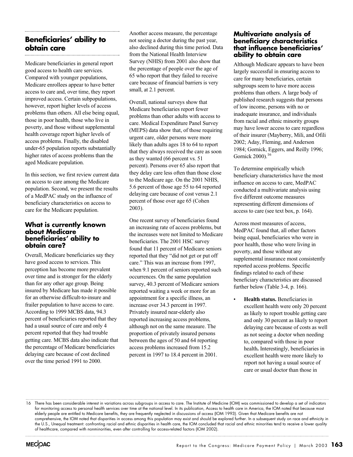## **Beneficiaries' ability to obtain care**

Medicare beneficiaries in general report good access to health care services. Compared with younger populations, Medicare enrollees appear to have better access to care and, over time, they report improved access. Certain subpopulations, however, report higher levels of access problems than others. All else being equal, those in poor health, those who live in poverty, and those without supplemental health coverage report higher levels of access problems. Finally, the disabled under-65 population reports substantially higher rates of access problems than the aged Medicare population.

In this section, we first review current data on access to care among the Medicare population. Second, we present the results of a MedPAC study on the influence of beneficiary characteristics on access to care for the Medicare population.

#### **What is currently known about Medicare beneficiaries' ability to obtain care?**

Overall, Medicare beneficiaries say they have good access to services. This perception has become more prevalent over time and is stronger for the elderly than for any other age group. Being insured by Medicare has made it possible for an otherwise difficult-to-insure and frailer population to have access to care. According to 1999 MCBS data, 94.3 percent of beneficiaries reported that they had a usual source of care and only 4 percent reported that they had trouble getting care. MCBS data also indicate that the percentage of Medicare beneficiaries delaying care because of cost declined over the time period 1991 to 2000.

Another access measure, the percentage not seeing a doctor during the past year, also declined during this time period. Data from the National Health Interview Survey (NHIS) from 2001 also show that the percentage of people over the age of 65 who report that they failed to receive care because of financial barriers is very small, at 2.1 percent.

Overall, national surveys show that Medicare beneficiaries report fewer problems than other adults with access to care. Medical Expenditure Panel Survey (MEPS) data show that, of those requiring urgent care, older persons were more likely than adults ages 18 to 64 to report that they always received the care as soon as they wanted (66 percent vs. 51 percent). Persons over 65 also report that they delay care less often than those close to the Medicare age. On the 2001 NHIS, 5.6 percent of those age 55 to 64 reported delaying care because of cost versus 2.1 percent of those over age 65 (Cohen 2003).

One recent survey of beneficiaries found an increasing rate of access problems, but the increases were not limited to Medicare beneficiaries. The 2001 HSC survey found that 11 percent of Medicare seniors reported that they "did not get or put off care." This was an increase from 1997, when 9.1 percent of seniors reported such occurrences. On the same population survey, 40.3 percent of Medicare seniors reported waiting a week or more for an appointment for a specific illness, an increase over 34.3 percent in 1997. Privately insured near-elderly also reported increasing access problems, although not on the same measure. The proportion of privately insured persons between the ages of 50 and 64 reporting access problems increased from 15.2 percent in 1997 to 18.4 percent in 2001.

#### **Multivariate analysis of beneficiary characteristics that influence beneficiaries' ability to obtain care**

Although Medicare appears to have been largely successful in ensuring access to care for many beneficiaries, certain subgroups seem to have more access problems than others. A large body of published research suggests that persons of low income, persons with no or inadequate insurance, and individuals from racial and ethnic minority groups may have lower access to care regardless of their insurer (Mayberry, Mili, and Ofili 2002; Aday, Fleming, and Anderson 1984; Gornick, Eggers, and Reilly 1996; Gornick 2000).16

To determine empirically which beneficiary characteristics have the most influence on access to care, MedPAC conducted a multivariate analysis using five different outcome measures representing different dimensions of access to care (see text box, p. 164).

Across most measures of access, MedPAC found that, all other factors being equal, beneficiaries who were in poor health, those who were living in poverty, and those without any supplemental insurance most consistently reported access problems. Specific findings related to each of these beneficiary characteristics are discussed further below (Table 3-4, p. 166).

• **Health status.** Beneficiaries in excellent health were only 20 percent as likely to report trouble getting care and only 30 percent as likely to report delaying care because of costs as well as not seeing a doctor when needing to, compared with those in poor health**.** Interestingly, beneficiaries in excellent health were more likely to report not having a usual source of care or usual doctor than those in

16 There has been considerable interest in variations across subgroups in access to care. The Institute of Medicine (IOM) was commissioned to develop a set of indicators for monitoring access to personal health services over time at the national level. In its publication, Access to health care in America, the IOM noted that because most elderly people are entitled to Medicare benefits, they are frequently neglected in discussions of access (IOM 1993). Given that Medicare benefits are not comprehensive, the IOM noted that disparities in access among this population may exist and should be explored further. In a subsequent study on race and ethnicity in the U.S., Unequal treatment: confronting racial and ethnic disparities in health care, the IOM concluded that racial and ethnic minorities tend to receive a lower quality of healthcare, compared with nonminorities, even after controlling for access-related factors (IOM 2002).

**MECOAC**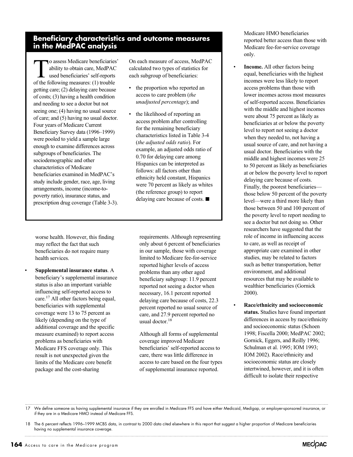## **Beneficiary characteristics and outcome measures in the MedPAC analysis**

To assess Medicare beneficiaries'<br>ability to obtain care, MedPAC<br>used beneficiaries' self-reports<br>of the following measures: (1) trouble ability to obtain care, MedPAC used beneficiaries' self-reports of the following measures: (1) trouble getting care; (2) delaying care because of costs; (3) having a health condition and needing to see a doctor but not seeing one; (4) having no usual source of care; and (5) having no usual doctor. Four years of Medicare Current Beneficiary Survey data (1996–1999) were pooled to yield a sample large enough to examine differences across subgroups of beneficiaries. The sociodemographic and other characteristics of Medicare beneficiaries examined in MedPAC's study include gender, race, age, living arrangements, income (income-topoverty ratio), insurance status, and prescription drug coverage (Table 3-3).

worse health. However, this finding may reflect the fact that such beneficiaries do not require many health services.

• **Supplemental insurance status**. A beneficiary's supplemental insurance status is also an important variable influencing self-reported access to care.17 All other factors being equal, beneficiaries with supplemental coverage were 13 to 75 percent as likely (depending on the type of additional coverage and the specific measure examined) to report access problems as beneficiaries with Medicare FFS coverage only. This result is not unexpected given the limits of the Medicare core benefit package and the cost-sharing

On each measure of access, MedPAC calculated two types of statistics for each subgroup of beneficiaries:

- the proportion who reported an access to care problem (*the unadjusted percentage*); and
- the likelihood of reporting an access problem after controlling for the remaining beneficiary characteristics listed in Table 3-4 (*the adjusted odds ratio*). For example, an adjusted odds ratio of 0.70 for delaying care among Hispanics can be interpreted as follows: all factors other than ethnicity held constant, Hispanics were 70 percent as likely as whites (the reference group) to report delaying care because of costs.  $\blacksquare$

requirements. Although representing only about 6 percent of beneficiaries in our sample, those with coverage limited to Medicare fee-for-service reported higher levels of access problems than any other aged beneficiary subgroup: 11.9 percent reported not seeing a doctor when necessary, 16.1 percent reported delaying care because of costs, 22.3 percent reported no usual source of care, and 27.9 percent reported no usual doctor.<sup>18</sup>

Although all forms of supplemental coverage improved Medicare beneficiaries' self-reported access to care, there was little difference in access to care based on the four types of supplemental insurance reported.

Medicare HMO beneficiaries reported better access than those with Medicare fee-for-service coverage only.

- **Income.** All other factors being equal, beneficiaries with the highest incomes were less likely to report access problems than those with lower incomes across most measures of self-reported access. Beneficiaries with the middle and highest incomes were about 75 percent as likely as beneficiaries at or below the poverty level to report not seeing a doctor when they needed to, not having a usual source of care, and not having a usual doctor. Beneficiaries with the middle and highest incomes were 25 to 50 percent as likely as beneficiaries at or below the poverty level to report delaying care because of costs. Finally, the poorest beneficiaries those below 50 percent of the poverty level—were a third more likely than those between 50 and 100 percent of the poverty level to report needing to see a doctor but not doing so. Other researchers have suggested that the role of income in influencing access to care, as well as receipt of appropriate care examined in other studies, may be related to factors such as better transportation, better environment, and additional resources that may be available to wealthier beneficiaries (Gornick 2000).
	- **Race/ethnicity and socioeconomic status.** Studies have found important differences in access by race/ethnicity and socioeconomic status (Schoen 1998; Fiscella 2000; MedPAC 2002; Gornick, Eggers, and Reilly 1996; Schulman et al. 1995; IOM 1993; IOM 2002). Race/ethnicity and socioeconomic status are closely intertwined, however, and it is often difficult to isolate their respective

17 We define someone as having supplemental insurance if they are enrolled in Medicare FFS and have either Medicaid, Medigap, or employer-sponsored insurance, or if they are in a Medicare HMO instead of Medicare FFS.

18 The 6 percent reflects 1996–1999 MCBS data, in contrast to 2000 data cited elsewhere in this report that suggest a higher proportion of Medicare beneficiaries having no supplemental insurance coverage.

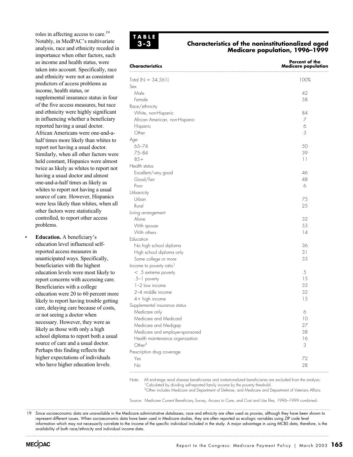roles in affecting access to care.19 Notably, in MedPAC's multivariate analysis, race and ethnicity receded in importance when other factors, such as income and health status, were taken into account. Specifically, race and ethnicity were not as consistent predictors of access problems as income, health status, or supplemental insurance status in four of the five access measures, but race and ethnicity were highly significant in influencing whether a beneficiary reported having a usual doctor. African Americans were one-and-ahalf times more likely than whites to report not having a usual doctor. Similarly, when all other factors were held constant, Hispanics were almost twice as likely as whites to report not having a usual doctor and almost one-and-a-half times as likely as whites to report not having a usual source of care. However, Hispanics were less likely than whites, when all other factors were statistically controlled, to report other access problems.

• **Education.** A beneficiary's education level influenced selfreported access measures in unanticipated ways. Specifically, beneficiaries with the highest education levels were most likely to report concerns with accessing care. Beneficiaries with a college education were 20 to 60 percent more likely to report having trouble getting care, delaying care because of costs, or not seeing a doctor when necessary. However, they were as likely as those with only a high school diploma to report both a usual source of care and a usual doctor. Perhaps this finding reflects the higher expectations of individuals who have higher education levels.



#### **Characteristics of the noninstitutionalized aged Medicare population, 1996–1999**

**Percent of the** 

| Characteristics                      | <b>Medicare population</b> |
|--------------------------------------|----------------------------|
| Total ( $N = 34,561$ )               | 100%                       |
| Sex                                  |                            |
| Male                                 | 42                         |
| Female                               | 58                         |
| Race/ethnicity                       |                            |
| White, non-Hispanic                  | 84                         |
| African American, non-Hispanic       | $\overline{7}$             |
| Hispanic                             | 6                          |
| Other                                | 3                          |
| Age                                  |                            |
| $65 - 74$                            | 50                         |
| $75 - 84$                            | 39                         |
| $85+$                                | 11                         |
| Health status                        |                            |
| Excellent/very good                  | 46                         |
| Good/fair                            | 48                         |
| Poor                                 | 6                          |
| Urbanicity                           |                            |
| Urban                                | 75                         |
| Rural                                | 25                         |
| Living arrangement                   |                            |
| Alone                                | 32                         |
| With spouse                          | 53                         |
| With others                          | 14                         |
| Education                            |                            |
| No high school diploma               | 36                         |
| High school diploma only             | 31                         |
| Some college or more                 | 33                         |
| Income to poverty ratio <sup>1</sup> |                            |
| $<$ .5 extreme poverty               | 5                          |
| .5-1 poverty                         | 15                         |
| $1-2$ low income                     | 33                         |
| 2-4 middle income                    | 32                         |
| 4+ high income                       | 15                         |
| Supplemental insurance status        |                            |
| Medicare only                        | 6                          |
| Medicare and Medicaid                | 10                         |
| Medicare and Medigap                 | 27                         |
| Medicare and employer-sponsored      | 38                         |
| Health maintenance organization      | 16                         |
| Other <sup>2</sup>                   | 3                          |
| Prescription drug coverage           |                            |
| Yes                                  | 72                         |
| No                                   | 28                         |

Note: All end-stage renal disease beneficiaries and institutionalized beneficiaries are excluded from the analysis. <sup>1</sup>Calculated by dividing self-reported family income by the poverty threshold. 2Other includes Medicare and Department of Defense, and Medicare and Department of Veterans Affairs.

Source: Medicare Current Beneficiary Survey, Access to Care, and Cost and Use files, 1996–1999 combined.

19 Since socioeconomic data are unavailable in the Medicare administrative databases, race and ethnicity are often used as proxies, although they have been shown to represent different issues. When socioeconomic data have been used in Medicare studies, they are often reported as ecologic variables using ZIP code level information which may not necessarily correlate to the income of the specific individual included in the study. A major advantage in using MCBS data, therefore, is the availability of both race/ethnicity and individual income data.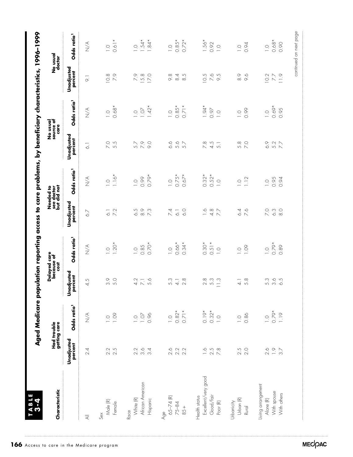| Characteristic               |                              | Had trouble<br>getting care       |                              | Delayed care<br>because of<br>cost |                              | Aged Medicare population reporting access to care problems, by beneficiary characteristics, 1996–1999<br>Needed to<br>see doctor<br>but did not |                       | No usual<br>source of             |                              | No usual<br>doctor                |
|------------------------------|------------------------------|-----------------------------------|------------------------------|------------------------------------|------------------------------|-------------------------------------------------------------------------------------------------------------------------------------------------|-----------------------|-----------------------------------|------------------------------|-----------------------------------|
|                              | <b>Unadjusted</b><br>percent | Odds ratio <sup>1</sup>           | <b>Unadjusted</b><br>percent | Odds ratio <sup>1</sup>            | <b>Unadjusted</b><br>percent | Odds ratio <sup>1</sup>                                                                                                                         | Unadjusted<br>percent | Odds ratio <sup>1</sup><br>care   | <b>Unadjusted</b><br>percent | Odds ratio <sup>1</sup>           |
| $\overline{\overline{z}}$    | 2.4                          | $\underset{\textstyle\sum}{\leq}$ | 5<br>4                       | $\sum_{i=1}^{\infty}$              | 6.7                          | $\underset{\textstyle\sum}{\leq}$                                                                                                               | $\overline{\circ}$    | $\underset{\textstyle\sum}{\leq}$ | $\overline{\circ}$           | $\underset{\textstyle\sum}{\leq}$ |
| Sex                          |                              |                                   |                              |                                    |                              |                                                                                                                                                 |                       |                                   |                              |                                   |
| Male (R)                     | $2.\overline{5}$<br>2.5      | $\frac{0}{1}$ .09                 | $\frac{6}{3}$                | $\overline{\phantom{0}}$ .         | $\overline{\circ}$           | $\overline{\phantom{0}}$ .                                                                                                                      | 7.0                   | $\overline{\phantom{0}}$ .        | 10.8                         | $\supseteq$                       |
| Female                       |                              |                                   | 5.0                          | $1.20*$                            | 7.2                          | $1.16*$                                                                                                                                         | 5.5                   | $0.68*$                           | 7.9                          | $0.61*$                           |
| Race                         |                              |                                   |                              |                                    |                              |                                                                                                                                                 |                       |                                   |                              |                                   |
| White (R)                    | 2.2<br>$3.\overline{6}$      | $\frac{10}{10}$                   | 4.2                          | 0.85<br>$\overline{0}$ .           | $\frac{8}{10}$<br>6.5        | 0.99<br>$\overline{0}$ .                                                                                                                        | 5.7                   | 1.07<br>$\bigcirc$                | 7.9<br>15.8                  | $.54*$<br>$\circ$                 |
| African American<br>Hispanic | $\frac{3}{4}$                | 0.96                              | 7.1                          | $0.70*$                            | $7.\overline{3}$             | 0.79*                                                                                                                                           | 50<br>$\circ$         | $1.42*$                           | 17.0                         | $1.84*$                           |
|                              |                              |                                   |                              |                                    |                              |                                                                                                                                                 |                       |                                   |                              |                                   |
| 65-74 (R)<br>Age             | 2.6                          | $\overline{C}$                    | 5.3                          | $\overline{0}$ .                   | 7.4                          | $\overline{a}$                                                                                                                                  | $\sim$                | $\overline{0}$ .                  | $\infty$<br>$\infty$         | $\overline{0}$ .                  |
| 75-84                        |                              |                                   | $\overline{4}$               | $0.66*$                            | $\overline{\circ}$           | $0.75*$                                                                                                                                         | 5.6                   | $0.85*$                           | 8.4                          | $0.85*$                           |
| $85 +$                       | $2.2$<br>$2.2$               | $0.82*$<br>0.71*                  | $\infty$<br>$\sim$           | $0.34*$                            | $\circ$                      | $0.67*$                                                                                                                                         | 5.7                   | $0.71*$                           | $\frac{5}{8}$                | $0.72*$                           |
| Health status                |                              |                                   |                              |                                    |                              |                                                                                                                                                 |                       |                                   |                              |                                   |
| Excellent/very good          | $\frac{1}{1}$                | $0.19*$                           | $\infty$<br>$\sim$           | $0.30*$                            | $\frac{1}{2}$                | $0.32*$                                                                                                                                         | 7.8                   | $1.94*$                           | 10.5                         | $1.56*$                           |
| Good/fair                    | $2.5$<br>$7.8$               |                                   | 5.3                          | $0.51*$                            | $4.\overline{8}$             | $0.52*$                                                                                                                                         | 4.5                   | 0.97                              | $5\overline{6}$              | 0.92                              |
| Poor (R)                     |                              | $0.32*$                           | 11.3                         | $\overline{C}$                     | 77                           | $\overline{C}$                                                                                                                                  | 5.1                   | $\overline{C}$                    | 9.5                          | $\overline{C}$                    |
| Urbanicity                   |                              |                                   |                              |                                    |                              |                                                                                                                                                 |                       |                                   |                              |                                   |
| Urban (R)                    |                              | $\overline{C}$                    | $\frac{1}{4}$                | $\supseteq$                        | 6.4                          | $\overline{\phantom{0}}$ .                                                                                                                      | 5.8                   | $\overline{C}$                    | $\odot$                      | $\overline{0}$ .                  |
| <b>Rural</b>                 | $2.5$<br>2.0                 | 0.86                              | 5.8                          | 1.09                               | 5.6                          | 1.12                                                                                                                                            | $\overline{7}$ .0     | 0.99                              | $\circ$                      | 0.94                              |
| Living arrangement           |                              |                                   |                              |                                    |                              |                                                                                                                                                 |                       |                                   |                              |                                   |
| Alone (R)                    |                              |                                   | 5.3                          | $\overline{a}$                     | $\overline{C}$               | $\overline{0}$ .                                                                                                                                | 6.9                   | $\overline{a}$                    | 10.2                         | $\overline{0}$ .                  |
| With spouse                  | $0.97$<br>$-9.7$             | $-0.79$<br>$-1.19$                | $3.5$<br>$6.5$               | $0.79*$                            | $6.3$<br>$8.0$               | 0.95                                                                                                                                            | 5.7                   | $0.69*$                           | $\angle$                     | $0.68*$                           |
| With others                  |                              |                                   |                              | 0.89                               |                              | 0.94                                                                                                                                            |                       | 0.95                              | $\frac{1}{1}$                | 0.90                              |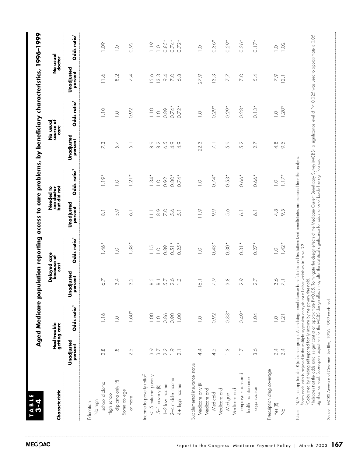|                                          |                       | Had trouble<br>getting care | Delayed care<br>because of          | <b>COST</b>                       |                       | Needed to<br>see doctor<br>but did not |                          | No usual<br>source of<br>care |                                       | No usual<br>doctor      |
|------------------------------------------|-----------------------|-----------------------------|-------------------------------------|-----------------------------------|-----------------------|----------------------------------------|--------------------------|-------------------------------|---------------------------------------|-------------------------|
|                                          | Unadjusted<br>percent | Odds ratio <sup>1</sup>     | adjusted<br>percent<br>š            | Odds ratio <sup>1</sup>           | Unadjusted<br>percent | Odds ratio <sup>1</sup>                | Unadjusted<br>percent    | Odds ratio <sup>1</sup>       | Unadjusted<br>percent                 | Odds ratio <sup>1</sup> |
| No high<br>Education                     |                       |                             |                                     |                                   |                       |                                        |                          |                               |                                       |                         |
| school diploma                           | 2.8                   | 1.16                        | 6.7                                 | $1.46*$                           | $\overline{\circ}$    | $1.19*$                                | 7.3                      | $\frac{1}{1}$                 | $\frac{1}{10}$                        | 1.09                    |
| diploma only (R)<br>High school          | $\frac{8}{1}$         | $\overline{a}$              | 4<br>က                              | $\bigcirc$                        | 59                    | $\bigcirc$                             | 57                       | $\overline{a}$                | $\sim$<br>$\infty$                    | $\overline{a}$          |
| Some college<br>or more                  | 2.5                   | $1.60*$                     | 3.2                                 | $38*$<br>$\overline{\phantom{0}}$ | $\overline{\circ}$    | $21*$                                  | 5.1                      | 0.92                          | $\overline{A}$<br>$\overline{\wedge}$ | 0.92                    |
| Income to poverty ratio <sup>2</sup>     |                       |                             |                                     |                                   |                       |                                        |                          |                               |                                       |                         |
| $<$ .5 extreme poverty                   | 3.9                   | 0.00                        | S.<br>$\infty$                      | 1.15                              | $\Xi$                 | $1.34*$                                | $\frac{8}{8}$            | $\frac{1}{1}$                 | 5.6                                   | 1.19                    |
| .5-1 poverty (R)                         | $\frac{1}{3}$         | $\overline{a}$              | $\overline{\circ}$                  | $\overline{0}$ .                  | $\odot \atop \odot$   | $\overline{C}$                         | 8.2                      | $\overline{a}$                | 13.3                                  | $\overline{C}$          |
| $1-2$ low income                         | 2.2                   | 0.86                        | 5.7                                 | 0.89                              | $\overline{C}$        | 0.92                                   | 6.5                      | 0.89                          | $\circ$                               | $0.85*$                 |
| 2-4 middle income                        | $\frac{1}{1}$         | 0.90                        | 2.6                                 | 0.51                              | 5.6                   | $0.80*$                                | $\frac{6}{4}$            | $0.74*$                       | $\overline{C}$                        | $0.74*$                 |
| 4+ high income                           | $\overline{2}$ .      | 1.00                        | $\frac{3}{2}$                       | $0.25*$                           | $\overline{5}$        | $0.74*$                                | 4.9                      | $0.72*$                       | $\frac{8}{6}$                         | $0.72*$                 |
| Supplemental insurance status            |                       |                             |                                     |                                   |                       |                                        |                          |                               |                                       |                         |
| Medicare only (R)                        | 4.1                   | $\supseteq$                 | 16.1                                | $\overline{a}$                    | $\frac{1}{1}$         | $\overline{0}$                         | 22.3                     | $\overline{a}$                | $\circ$<br>27.                        | $\overline{a}$          |
| Medicare and                             |                       |                             |                                     |                                   |                       |                                        |                          |                               |                                       |                         |
| Medicaid                                 | 4.5                   | 0.92                        | $\circ$<br>$\overline{\phantom{0}}$ | $0.43*$                           | $\frac{6}{2}$         | $0.74*$                                | $\overline{\mathcal{N}}$ | $0.29*$                       | S<br>$\sim$                           | $0.36*$                 |
| Medicare and<br>Medigap                  | $\frac{3}{2}$         | $0.33*$                     | 3.8                                 | $0.30*$                           | 5.6                   | $0.53*$                                | 5.9                      | $0.29*$                       | 7.7                                   | $0.29*$                 |
| Medicare and                             |                       |                             |                                     |                                   |                       |                                        |                          |                               |                                       |                         |
| employer-sponsored<br>Health maintenance | $\geq$                | $0.49*$                     | 2.9                                 | ×<br>$\overline{0.3}$             | $\overline{\circ}$    | $0.66*$                                | $\sim$<br>5              | $0.28*$                       | 7.0                                   | $0.26*$                 |
| organization                             | 3.6                   | 1.04                        | 2.7                                 | $0.27*$                           | $\overline{\circ}$    | $0.66*$                                | 2.7                      | $0.13*$                       | 5.4                                   | $0.17*$                 |
| Prescription drug coverage               |                       |                             |                                     |                                   |                       |                                        |                          |                               |                                       |                         |
| Yes(R)                                   | 2.4                   | $\overline{a}$              | 3.6                                 | $\overline{a}$                    | 4.8                   | $\overline{C}$                         | 4.8                      | $\overline{a}$                | 2.9                                   | $\overline{a}$          |
| $\stackrel{\circ}{\geq}$                 | 2.4                   | 1.21                        | $\overline{\mathcal{Z}}$            | $1.42*$                           | 9.5                   | $1.17*$                                | 9.5                      | $1.20*$                       | 12.1                                  | 1.02                    |

Source: MCBS Access and Cost and Use files, 1996–1999 combined.

j

Source: MCBS Access and Cost and Use files, 1996-1999 combined.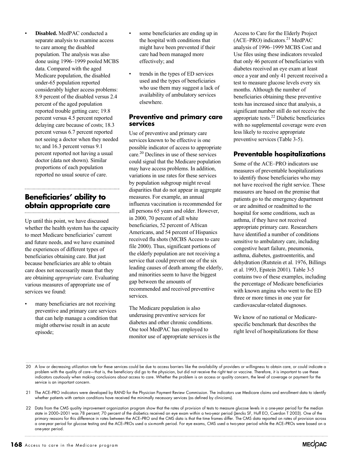• **Disabled.** MedPAC conducted a separate analysis to examine access to care among the disabled population. The analysis was also done using 1996–1999 pooled MCBS data. Compared with the aged Medicare population, the disabled under-65 population reported considerably higher access problems: 8.9 percent of the disabled versus 2.4 percent of the aged population reported trouble getting care; 19.8 percent versus 4.5 percent reported delaying care because of costs; 18.3 percent versus 6.7 percent reported not seeing a doctor when they needed to; and 16.3 percent versus 9.1 percent reported not having a usual doctor (data not shown). Similar proportions of each population reported no usual source of care.

## **Beneficiaries' ability to obtain appropriate care**

Up until this point, we have discussed whether the health system has the capacity to meet Medicare beneficiaries' current and future needs, and we have examined the experiences of different types of beneficiaries obtaining care. But just because beneficiaries are able to obtain care does not necessarily mean that they are obtaining *appropriate* care. Evaluating various measures of appropriate use of services we found:

many beneficiaries are not receiving preventive and primary care services that can help manage a condition that might otherwise result in an acute episode;

- some beneficiaries are ending up in the hospital with conditions that might have been prevented if their care had been managed more effectively; and
- trends in the types of ED services used and the types of beneficiaries who use them may suggest a lack of availability of ambulatory services elsewhere.

#### **Preventive and primary care services**

Use of preventive and primary care services known to be effective is one possible indicator of access to appropriate care.20 Declines in use of these services could signal that the Medicare population may have access problems. In addition, variations in use rates for these services by population subgroup might reveal disparities that do not appear in aggregate measures. For example, an annual influenza vaccination is recommended for all persons 65 years and older. However, in 2000, 70 percent of all white beneficiaries, 52 percent of African Americans, and 54 percent of Hispanics received flu shots (MCBS Access to care file 2000). Thus, significant portions of the elderly population are not receiving a service that could prevent one of the six leading causes of death among the elderly, and minorities seem to have the biggest gap between the amounts of recommended and received preventive services.

The Medicare population is also underusing preventive services for diabetes and other chronic conditions. One tool MedPAC has employed to monitor use of appropriate services is the

Access to Care for the Elderly Project  $(ACE–PRO)$  indicators.<sup>21</sup> MedPAC analysis of 1996–1999 MCBS Cost and Use files using these indicators revealed that only 46 percent of beneficiaries with diabetes received an eye exam at least once a year and only 41 percent received a test to measure glucose levels every six months. Although the number of beneficiaries obtaining these preventive tests has increased since that analysis, a significant number still do not receive the appropriate tests.22 Diabetic beneficiaries with no supplemental coverage were even less likely to receive appropriate preventive services (Table 3-5).

## **Preventable hospitalizations**

Some of the ACE–PRO indicators use measures of preventable hospitalizations to identify those beneficiaries who may not have received the right service. These measures are based on the premise that patients go to the emergency department or are admitted or readmitted to the hospital for some conditions, such as asthma, if they have not received appropriate primary care. Researchers have identified a number of conditions sensitive to ambulatory care, including congestive heart failure, pneumonia, asthma, diabetes, gastroenteritis, and dehydration (Rutstein et al. 1976, Billings et al. 1993, Epstein 2001). Table 3-5 contains two of these examples, including the percentage of Medicare beneficiaries with known angina who went to the ED three or more times in one year for cardiovascular-related diagnoses.

We know of no national or Medicarespecific benchmark that describes the right level of hospitalizations for these

- 20 A low or decreasing utilization rate for these services could be due to access barriers like the availability of providers or willingness to obtain care, or could indicate a problem with the quality of care—that is, the beneficiary did go to the physician, but did not receive the right test or vaccine. Therefore, it is important to use these indicators cautiously when making conclusions about access to care. Whether the problem is an access or quality concern, the level of coverage or payment for the service is an important concern.
- 21 The ACE–PRO indicators were developed by RAND for the Physician Payment Review Commission. The indicators use Medicare claims and enrollment data to identify whether patients with certain conditions have received the minimally necessary services (as defined by clinicians).
- 22 Data from the CMS quality improvement organization program show that the rates of provision of tests to measure glucose levels in a one-year period for the median state in 2000–2001 was 78 percent; 70 percent of the diabetics received an eye exam within a two-year period (Jencks SF, Huff EO, Cuerdon T 2003). One of the primary reasons for this difference in rates between the ACE–PRO and the CMS data is that the time frames differ. The CMS data reported on rates of provision across a one-year period for glucose testing and the ACE–PROs used a six-month period. For eye exams, CMS used a two-year period while the ACE–PROs were based on a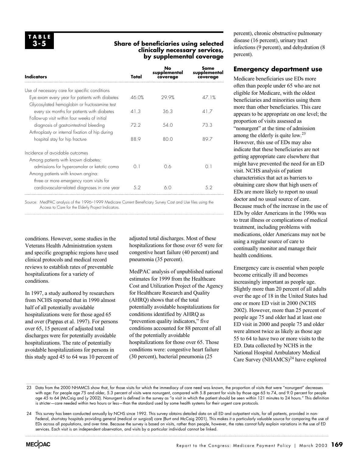#### **Share of beneficiaries using selected clinically necessary services, by supplemental coverage**

| Indicators                                                                                     | Total    | No<br>supplemental<br>coverage | Some<br>supplemental<br>coverage |
|------------------------------------------------------------------------------------------------|----------|--------------------------------|----------------------------------|
| Use of necessary care for specific conditions                                                  |          |                                |                                  |
| Eye exam every year for patients with diabetes<br>Glycosylated hemoglobin or fructosamine test | 46.0%    | 29.9%                          | 47 1%                            |
| every six months for patients with diabetes<br>Follow-up visit within four weeks of initial    | 41.3     | 36.3                           | 41.7                             |
| diagnosis of gastrointestinal bleeding<br>Arthroplasty or internal fixation of hip during      | 72.2     | 54.0                           | 73.3                             |
| hospital stay for hip fracture                                                                 | 88.9     | 80.0                           | 89.7                             |
| Incidence of avoidable outcomes                                                                |          |                                |                                  |
| Among patients with known diabetes:<br>admissions for hyperosmolar or ketotic coma             | $\cap$ 1 | 06                             | $\cap$ 1                         |
| Among patients with known angina:<br>three or more emergency room visits for                   |          |                                |                                  |
| cardiovascular-related diagnoses in one year                                                   | 52       | 60                             | 52                               |

Source: MedPAC analysis of the 1996–1999 Medicare Current Beneficiary Survey Cost and Use files using the Access to Care for the Elderly Project Indicators.

conditions. However, some studies in the Veterans Health Administration system and specific geographic regions have used clinical protocols and medical record reviews to establish rates of preventable hospitalizations for a variety of conditions.

In 1997, a study authored by researchers from NCHS reported that in 1990 almost half of all potentially avoidable hospitalizations were for those aged 65 and over (Pappas et al. 1997). For persons over 65, 15 percent of adjusted total discharges were for potentially avoidable hospitalizations. The rate of potentially avoidable hospitalizations for persons in this study aged 45 to 64 was 10 percent of adjusted total discharges. Most of these hospitalizations for those over 65 were for congestive heart failure (40 percent) and pneumonia (35 percent).

MedPAC analysis of unpublished national estimates for 1999 from the Healthcare Cost and Utilization Project of the Agency for Healthcare Research and Quality (AHRQ) shows that of the total potentially avoidable hospitalizations for conditions identified by AHRQ as "prevention quality indicators," five conditions accounted for 88 percent of all of the potentially avoidable hospitalizations for those over 65. Those conditions were: congestive heart failure (30 percent), bacterial pneumonia (25

percent), chronic obstructive pulmonary disease (16 percent), urinary tract infections (9 percent), and dehydration (8 percent).

#### **Emergency department use**

Medicare beneficiaries use EDs more often than people under 65 who are not eligible for Medicare, with the oldest beneficiaries and minorities using them more than other beneficiaries. This care appears to be appropriate on one level; the proportion of visits assessed as "nonurgent" at the time of admission among the elderly is quite low.<sup>23</sup> However, this use of EDs may also indicate that these beneficiaries are not getting appropriate care elsewhere that might have prevented the need for an ED visit. NCHS analysis of patient characteristics that act as barriers to obtaining care show that high users of EDs are more likely to report no usual doctor and no usual source of care. Because much of the increase in the use of EDs by older Americans in the 1990s was to treat illness or complications of medical treatment, including problems with medications, older Americans may not be using a regular source of care to continually monitor and manage their health conditions.

Emergency care is essential when people become critically ill and becomes increasingly important as people age. Slightly more than 20 percent of all adults over the age of 18 in the United States had one or more ED visit in 2000 (NCHS 2002). However, more than 25 percent of people age 75 and older had at least one ED visit in 2000 and people 75 and older were almost twice as likely as those age 55 to 64 to have two or more visits to the ED. Data collected by NCHS in the National Hospital Ambulatory Medical Care Survey  $(NHAMCS)^{24}$  have explored

<sup>23</sup> Data from the 2000 NHAMCS show that, for those visits for which the immediacy of care need was known, the proportion of visits that were "nonurgent" decreases with age: For people age 75 and older, 5.3 percent of visits were nonurgent, compared with 5.8 percent for visits by those age 65 to 74, and 9.0 percent for people age 45 to 64 (McCaig and Ly 2002). Nonurgent is defined in the survey as "a visit in which the patient should be seen within 121 minutes to 24 hours." This definition is stricter—care needed within two hours or less—than the standard used by some health systems for their urgent care protocols.

<sup>24</sup> This survey has been conducted annually by NCHS since 1992. This survey obtains detailed data on all ED and outpatient visits, for all patients, provided in non-Federal, short-stay hospitals providing general (medical or surgical) care (Burt and McCaig 2001). This makes it a particularly valuable source for comparing the use of EDs across all populations, and over time. Because the survey is based on visits, rather than people, however, the rates cannot fully explain variations in the use of ED services. Each visit is an independent observation, and visits by a particular individual cannot be linked.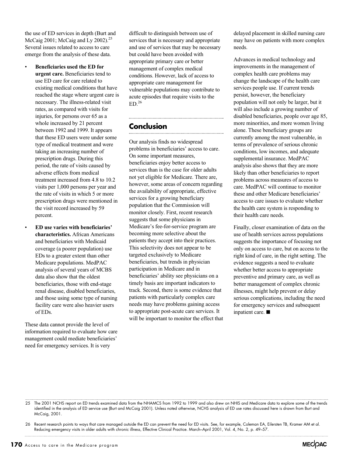the use of ED services in depth (Burt and McCaig 2001; McCaig and Ly 2002). $25$ Several issues related to access to care emerge from the analysis of these data.

- **Beneficiaries used the ED for urgent care.** Beneficiaries tend to use ED care for care related to existing medical conditions that have reached the stage where urgent care is necessary. The illness-related visit rates, as compared with visits for injuries, for persons over 65 as a whole increased by 21 percent between 1992 and 1999. It appears that these ED users were under some type of medical treatment and were taking an increasing number of prescription drugs. During this period, the rate of visits caused by adverse effects from medical treatment increased from 4.8 to 10.2 visits per 1,000 persons per year and the rate of visits in which 5 or more prescription drugs were mentioned in the visit record increased by 59 percent.
- **ED use varies with beneficiaries' characteristics.** African Americans and beneficiaries with Medicaid coverage (a poorer population) use EDs to a greater extent than other Medicare populations. MedPAC analysis of several years of MCBS data also show that the oldest beneficiaries, those with end-stage renal disease, disabled beneficiaries, and those using some type of nursing facility care were also heavier users of EDs.

These data cannot provide the level of information required to evaluate how care management could mediate beneficiaries' need for emergency services. It is very

difficult to distinguish between use of services that is necessary and appropriate and use of services that may be necessary but could have been avoided with appropriate primary care or better management of complex medical conditions. However, lack of access to appropriate care management for vulnerable populations may contribute to acute episodes that require visits to the  $ED<sup>26</sup>$ 

## **Conclusion**

Our analysis finds no widespread problems in beneficiaries' access to care. On some important measures, beneficiaries enjoy better access to services than is the case for older adults not yet eligible for Medicare. There are, however, some areas of concern regarding the availability of appropriate, effective services for a growing beneficiary population that the Commission will monitor closely. First, recent research suggests that some physicians in Medicare's fee-for-service program are becoming more selective about the patients they accept into their practices. This selectivity does not appear to be targeted exclusively to Medicare beneficiaries, but trends in physician participation in Medicare and in beneficiaries' ability see physicians on a timely basis are important indicators to track. Second, there is some evidence that patients with particularly complex care needs may have problems gaining access to appropriate post-acute care services. It will be important to monitor the effect that

delayed placement in skilled nursing care may have on patients with more complex needs.

Advances in medical technology and improvements in the management of complex health care problems may change the landscape of the health care services people use. If current trends persist, however, the beneficiary population will not only be larger, but it will also include a growing number of disabled beneficiaries, people over age 85, more minorities, and more women living alone. These beneficiary groups are currently among the most vulnerable, in terms of prevalence of serious chronic conditions, low incomes, and adequate supplemental insurance. MedPAC analysis also shows that they are more likely than other beneficiaries to report problems across measures of access to care. MedPAC will continue to monitor these and other Medicare beneficiaries' access to care issues to evaluate whether the health care system is responding to their health care needs.

Finally, closer examination of data on the use of health services across populations suggests the importance of focusing not only on access to care, but on access to the right kind of care, in the right setting. The evidence suggests a need to evaluate whether better access to appropriate preventive and primary care, as well as better management of complex chronic illnesses, might help prevent or delay serious complications, including the need for emergency services and subsequent inpatient care.  $\blacksquare$ 



<sup>25</sup> The 2001 NCHS report on ED trends examined data from the NHAMCS from 1992 to 1999 and also drew on NHIS and Medicare data to explore some of the trends identified in the analysis of ED service use (Burt and McCaig 2001). Unless noted otherwise, NCHS analysis of ED use rates discussed here is drawn from Burt and McCaig, 2001.

<sup>26</sup> Recent research points to ways that care managed outside the ED can prevent the need for ED visits. See, for example, Coleman EA, Eilersten TB, Kramer AM et al. Reducing emergency visits in older adults with chronic illness, Effective Clinical Practice. March–April 2001, Vol. 4, No. 2, p. 49–57.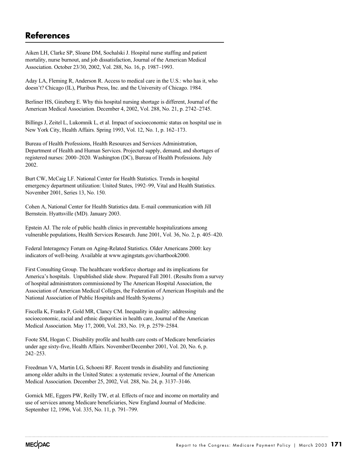## **References**

Aiken LH, Clarke SP, Sloane DM, Sochalski J. Hospital nurse staffing and patient mortality, nurse burnout, and job dissatisfaction, Journal of the American Medical Association. October 23/30, 2002, Vol. 288, No. 16, p. 1987–1993.

Aday LA, Fleming R, Anderson R. Access to medical care in the U.S.: who has it, who doesn't? Chicago (IL), Pluribus Press, Inc. and the University of Chicago. 1984.

Berliner HS, Ginzberg E. Why this hospital nursing shortage is different, Journal of the American Medical Association. December 4, 2002, Vol. 288, No. 21, p. 2742–2745.

Billings J, Zeitel L, Lukomnik L, et al. Impact of socioeconomic status on hospital use in New York City, Health Affairs. Spring 1993, Vol. 12, No. 1, p. 162–173.

Bureau of Health Professions, Health Resources and Services Administration, Department of Health and Human Services. Projected supply, demand, and shortages of registered nurses: 2000–2020. Washington (DC), Bureau of Health Professions. July 2002.

Burt CW, McCaig LF. National Center for Health Statistics. Trends in hospital emergency department utilization: United States, 1992–99, Vital and Health Statistics. November 2001, Series 13, No. 150.

Cohen A, National Center for Health Statistics data. E-mail communication with Jill Bernstein. Hyattsville (MD). January 2003.

Epstein AJ. The role of public health clinics in preventable hospitalizations among vulnerable populations, Health Services Research. June 2001, Vol. 36, No. 2, p. 405–420.

Federal Interagency Forum on Aging-Related Statistics. Older Americans 2000: key indicators of well-being. Available at www.agingstats.gov/chartbook2000.

First Consulting Group. The healthcare workforce shortage and its implications for America's hospitals. Unpublished slide show. Prepared Fall 2001. (Results from a survey of hospital administrators commissioned by The American Hospital Association, the Association of American Medical Colleges, the Federation of American Hospitals and the National Association of Public Hospitals and Health Systems.)

Fiscella K, Franks P, Gold MR, Clancy CM. Inequality in quality: addressing socioeconomic, racial and ethnic disparities in health care, Journal of the American Medical Association. May 17, 2000, Vol. 283, No. 19, p. 2579–2584.

Foote SM, Hogan C. Disability profile and health care costs of Medicare beneficiaries under age sixty-five, Health Affairs. November/December 2001, Vol. 20, No. 6, p. 242–253.

Freedman VA, Martin LG, Schoeni RF. Recent trends in disability and functioning among older adults in the United States: a systematic review, Journal of the American Medical Association. December 25, 2002, Vol. 288, No. 24, p. 3137–3146.

Gornick ME, Eggers PW, Reilly TW, et al. Effects of race and income on mortality and use of services among Medicare beneficiaries, New England Journal of Medicine. September 12, 1996, Vol. 335, No. 11, p. 791–799.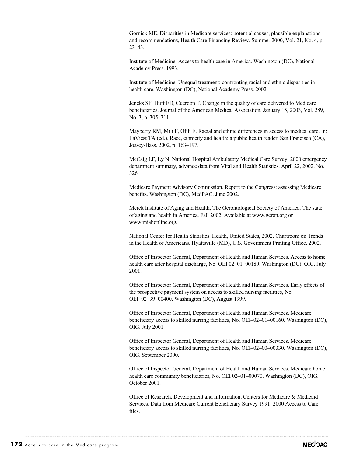Gornick ME. Disparities in Medicare services: potential causes, plausible explanations and recommendations, Health Care Financing Review. Summer 2000, Vol. 21, No. 4, p. 23–43.

Institute of Medicine. Access to health care in America. Washington (DC), National Academy Press. 1993.

Institute of Medicine. Unequal treatment: confronting racial and ethnic disparities in health care. Washington (DC), National Academy Press. 2002.

Jencks SF, Huff ED, Cuerdon T. Change in the quality of care delivered to Medicare beneficiaries, Journal of the American Medical Association. January 15, 2003, Vol. 289, No. 3, p. 305–311.

Mayberry RM, Mili F, Ofili E. Racial and ethnic differences in access to medical care. In: LaViest TA (ed.). Race, ethnicity and health: a public health reader. San Francisco (CA), Jossey-Bass. 2002, p. 163–197.

McCaig LF, Ly N. National Hospital Ambulatory Medical Care Survey: 2000 emergency department summary, advance data from Vital and Health Statistics. April 22, 2002, No. 326.

Medicare Payment Advisory Commission. Report to the Congress: assessing Medicare benefits. Washington (DC), MedPAC. June 2002.

Merck Institute of Aging and Health, The Gerontological Society of America. The state of aging and health in America. Fall 2002. Available at www.geron.org or www.miahonline.org.

National Center for Health Statistics. Health, United States, 2002. Chartroom on Trends in the Health of Americans. Hyattsville (MD), U.S. Government Printing Office. 2002.

Office of Inspector General, Department of Health and Human Services. Access to home health care after hospital discharge, No. OEI 02–01–00180. Washington (DC), OIG. July 2001.

Office of Inspector General, Department of Health and Human Services. Early effects of the prospective payment system on access to skilled nursing facilities, No. OEI–02–99–00400. Washington (DC), August 1999.

Office of Inspector General, Department of Health and Human Services. Medicare beneficiary access to skilled nursing facilities, No. OEI–02–01–00160. Washington (DC), OIG. July 2001.

Office of Inspector General, Department of Health and Human Services. Medicare beneficiary access to skilled nursing facilities, No. OEI–02–00–00330. Washington (DC), OIG. September 2000.

Office of Inspector General, Department of Health and Human Services. Medicare home health care community beneficiaries, No. OEI 02–01–00070. Washington (DC), OIG. October 2001.

Office of Research, Development and Information, Centers for Medicare & Medicaid Services. Data from Medicare Current Beneficiary Survey 1991–2000 Access to Care files.